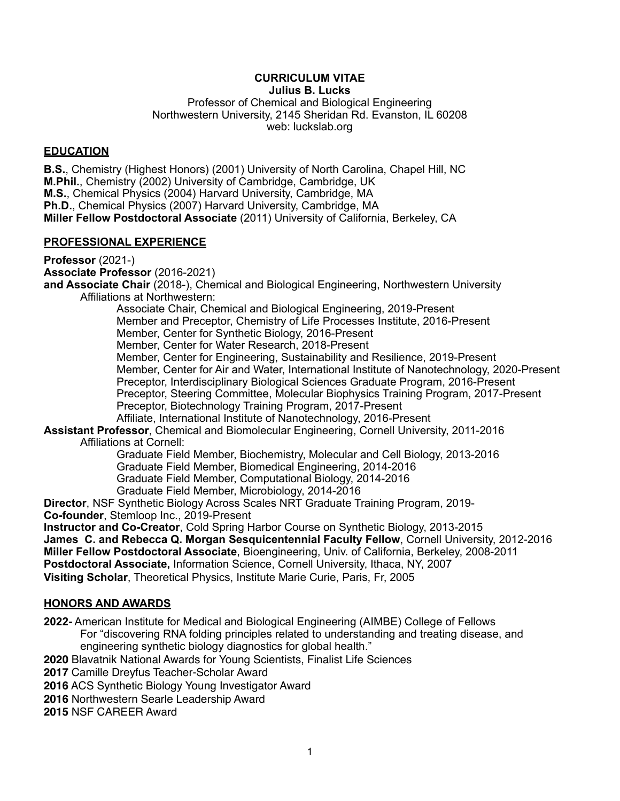#### **CURRICULUM VITAE**

**Julius B. Lucks**

Professor of Chemical and Biological Engineering Northwestern University, 2145 Sheridan Rd. Evanston, IL 60208 web: luckslab.org

#### **EDUCATION**

**B.S.**, Chemistry (Highest Honors) (2001) University of North Carolina, Chapel Hill, NC **M.Phil.**, Chemistry (2002) University of Cambridge, Cambridge, UK **M.S.**, Chemical Physics (2004) Harvard University, Cambridge, MA **Ph.D.**, Chemical Physics (2007) Harvard University, Cambridge, MA **Miller Fellow Postdoctoral Associate** (2011) University of California, Berkeley, CA

#### **PROFESSIONAL EXPERIENCE**

**Professor** (2021-)

**Associate Professor** (2016-2021)

**and Associate Chair** (2018-), Chemical and Biological Engineering, Northwestern University Affiliations at Northwestern:

Associate Chair, Chemical and Biological Engineering, 2019-Present Member and Preceptor, Chemistry of Life Processes Institute, 2016-Present Member, Center for Synthetic Biology, 2016-Present Member, Center for Water Research, 2018-Present Member, Center for Engineering, Sustainability and Resilience, 2019-Present Member, Center for Air and Water, International Institute of Nanotechnology, 2020-Present Preceptor, Interdisciplinary Biological Sciences Graduate Program, 2016-Present Preceptor, Steering Committee, Molecular Biophysics Training Program, 2017-Present Preceptor, Biotechnology Training Program, 2017-Present Affiliate, International Institute of Nanotechnology, 2016-Present

**Assistant Professor**, Chemical and Biomolecular Engineering, Cornell University, 2011-2016 Affiliations at Cornell:

Graduate Field Member, Biochemistry, Molecular and Cell Biology, 2013-2016

Graduate Field Member, Biomedical Engineering, 2014-2016

Graduate Field Member, Computational Biology, 2014-2016

Graduate Field Member, Microbiology, 2014-2016

**Director**, NSF Synthetic Biology Across Scales NRT Graduate Training Program, 2019- **Co-founder**, Stemloop Inc., 2019-Present

**Instructor and Co-Creator**, Cold Spring Harbor Course on Synthetic Biology, 2013-2015 **James C. and Rebecca Q. Morgan Sesquicentennial Faculty Fellow**, Cornell University, 2012-2016 **Miller Fellow Postdoctoral Associate**, Bioengineering, Univ. of California, Berkeley, 2008-2011 **Postdoctoral Associate,** Information Science, Cornell University, Ithaca, NY, 2007 **Visiting Scholar**, Theoretical Physics, Institute Marie Curie, Paris, Fr, 2005

#### **HONORS AND AWARDS**

**2022-** American Institute for Medical and Biological Engineering (AIMBE) College of Fellows For "discovering RNA folding principles related to understanding and treating disease, and engineering synthetic biology diagnostics for global health."

**2020** Blavatnik National Awards for Young Scientists, Finalist Life Sciences

**2017** Camille Dreyfus Teacher-Scholar Award

**2016** ACS Synthetic Biology Young Investigator Award

**2016** Northwestern Searle Leadership Award

**2015** NSF CAREER Award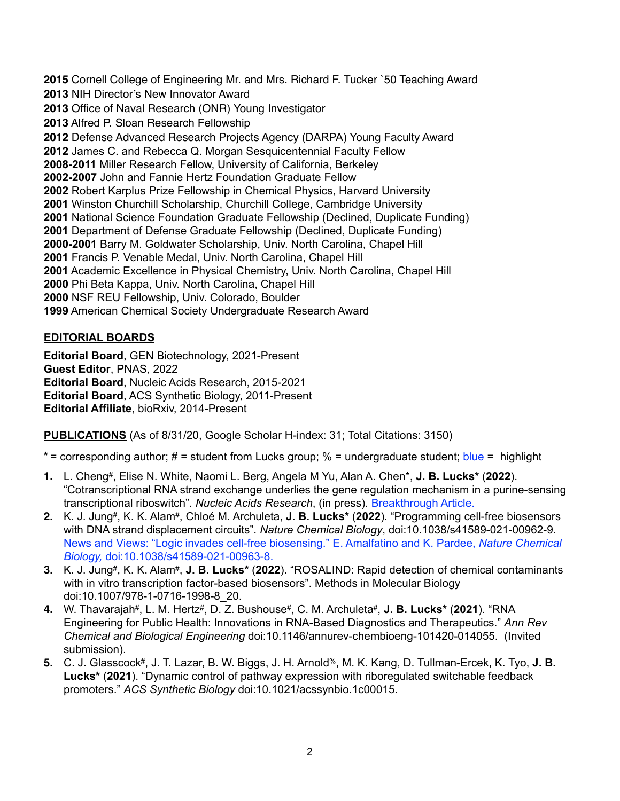Cornell College of Engineering Mr. and Mrs. Richard F. Tucker `50 Teaching Award NIH Director's New Innovator Award Office of Naval Research (ONR) Young Investigator Alfred P. Sloan Research Fellowship Defense Advanced Research Projects Agency (DARPA) Young Faculty Award James C. and Rebecca Q. Morgan Sesquicentennial Faculty Fellow **2008-2011** Miller Research Fellow, University of California, Berkeley **2002-2007** John and Fannie Hertz Foundation Graduate Fellow Robert Karplus Prize Fellowship in Chemical Physics, Harvard University Winston Churchill Scholarship, Churchill College, Cambridge University National Science Foundation Graduate Fellowship (Declined, Duplicate Funding) Department of Defense Graduate Fellowship (Declined, Duplicate Funding) **2000-2001** Barry M. Goldwater Scholarship, Univ. North Carolina, Chapel Hill Francis P. Venable Medal, Univ. North Carolina, Chapel Hill Academic Excellence in Physical Chemistry, Univ. North Carolina, Chapel Hill Phi Beta Kappa, Univ. North Carolina, Chapel Hill NSF REU Fellowship, Univ. Colorado, Boulder American Chemical Society Undergraduate Research Award

#### **EDITORIAL BOARDS**

**Editorial Board**, GEN Biotechnology, 2021-Present **Guest Editor**, PNAS, 2022 **Editorial Board**, Nucleic Acids Research, 2015-2021 **Editorial Board**, ACS Synthetic Biology, 2011-Present **Editorial Affiliate**, bioRxiv, 2014-Present

**PUBLICATIONS** (As of 8/31/20, Google Scholar H-index: 31; Total Citations: 3150)

- **\*** = corresponding author; # = student from Lucks group; % = undergraduate student; blue = highlight
- **1.** L. Cheng#, Elise N. White, Naomi L. Berg, Angela M Yu, Alan A. Chen\*, **J. B. Lucks\*** (**2022**). "Cotranscriptional RNA strand exchange underlies the gene regulation mechanism in a purine-sensing transcriptional riboswitch". *Nucleic Acids Research*, (in press). Breakthrough Article.
- **2.** K. J. Jung#, K. K. Alam#, Chloé M. Archuleta, **J. B. Lucks\*** (**2022**). "Programming cell-free biosensors with DNA strand displacement circuits". *Nature Chemical Biology*, doi:10.1038/s41589-021-00962-9. News and Views: "Logic invades cell-free biosensing." E. Amalfatino and K. Pardee, *Nature Chemical Biology,* doi:10.1038/s41589-021-00963-8.
- **3.** K. J. Jung#, K. K. Alam#, **J. B. Lucks\*** (**2022**). "ROSALIND: Rapid detection of chemical contaminants with in vitro transcription factor-based biosensors". Methods in Molecular Biology doi:10.1007/978-1-0716-1998-8\_20.
- **4.** W. Thavarajah#, L. M. Hertz#, D. Z. Bushouse#, C. M. Archuleta#, **J. B. Lucks\*** (**2021**). "RNA Engineering for Public Health: Innovations in RNA-Based Diagnostics and Therapeutics." *Ann Rev Chemical and Biological Engineering* doi:10.1146/annurev-chembioeng-101420-014055. (Invited submission).
- **5.** C. J. Glasscock#, J. T. Lazar, B. W. Biggs, J. H. Arnold%, M. K. Kang, D. Tullman-Ercek, K. Tyo, **J. B. Lucks\*** (**2021**). "Dynamic control of pathway expression with riboregulated switchable feedback promoters." *ACS Synthetic Biology* doi:10.1021/acssynbio.1c00015.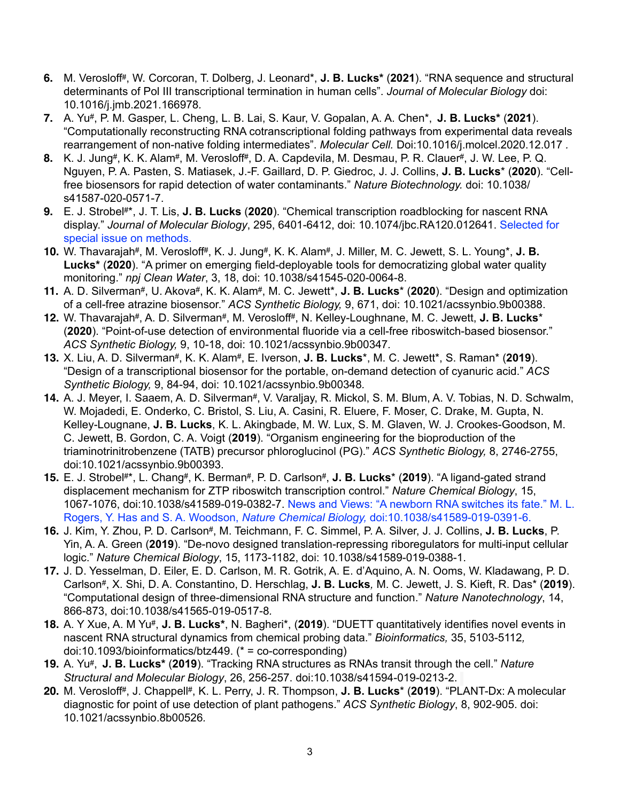- **6.** M. Verosloff#, W. Corcoran, T. Dolberg, J. Leonard\*, **J. B. Lucks\*** (**2021**). "RNA sequence and structural determinants of Pol III transcriptional termination in human cells". *Journal of Molecular Biology* doi: 10.1016/j.jmb.2021.166978*.*
- **7.** A. Yu#, P. M. Gasper, L. Cheng, L. B. Lai, S. Kaur, V. Gopalan, A. A. Chen\*, **J. B. Lucks\*** (**2021**). "Computationally reconstructing RNA cotranscriptional folding pathways from experimental data reveals rearrangement of non-native folding intermediates". *Molecular Cell.* Doi:10.1016/j.molcel.2020.12.017 *.*
- **8.** K. J. Jung#, K. K. Alam#, M. Verosloff#, D. A. Capdevila, M. Desmau, P. R. Clauer#, J. W. Lee, P. Q. Nguyen, P. A. Pasten, S. Matiasek, J.-F. Gaillard, D. P. Giedroc, J. J. Collins, **J. B. Lucks**\* (**2020**). "Cellfree biosensors for rapid detection of water contaminants." *Nature Biotechnology.* doi: 10.1038/ s41587-020-0571-7.
- **9.** E. J. Strobel#\*, J. T. Lis, **J. B. Lucks** (**2020**). "Chemical transcription roadblocking for nascent RNA display." *Journal of Molecular Biology*, 295, 6401-6412, doi: 10.1074/jbc.RA120.012641. Selected for special issue on methods.
- **10.** W. Thavarajah#, M. Verosloff#, K. J. Jung#, K. K. Alam#, J. Miller, M. C. Jewett, S. L. Young\*, **J. B. Lucks\*** (**2020**). "A primer on emerging field-deployable tools for democratizing global water quality monitoring." *npj Clean Water*, 3, 18, doi: 10.1038/s41545-020-0064-8.
- **11.** A. D. Silverman#, U. Akova#, K. K. Alam#, M. C. Jewett\*, **J. B. Lucks**\* (**2020**). "Design and optimization of a cell-free atrazine biosensor." *ACS Synthetic Biology,* 9, 671, doi: 10.1021/acssynbio.9b00388.
- **12.** W. Thavarajah#, A. D. Silverman#, M. Verosloff#, N. Kelley-Loughnane, M. C. Jewett, **J. B. Lucks**\* (**2020**). "Point-of-use detection of environmental fluoride via a cell-free riboswitch-based biosensor." *ACS Synthetic Biology,* 9, 10-18, doi: 10.1021/acssynbio.9b00347*.*
- **13.** X. Liu, A. D. Silverman#, K. K. Alam#, E. Iverson, **J. B. Lucks**\*, M. C. Jewett\*, S. Raman\* (**2019**). "Design of a transcriptional biosensor for the portable, on-demand detection of cyanuric acid." *ACS Synthetic Biology,* 9, 84-94, doi: 10.1021/acssynbio.9b00348*.*
- 14. A. J. Meyer, I. Saaem, A. D. Silverman#, V. Varaljay, R. Mickol, S. M. Blum, A. V. Tobias, N. D. Schwalm, W. Mojadedi, E. Onderko, C. Bristol, S. Liu, A. Casini, R. Eluere, F. Moser, C. Drake, M. Gupta, N. Kelley-Lougnane, **J. B. Lucks**, K. L. Akingbade, M. W. Lux, S. M. Glaven, W. J. Crookes-Goodson, M. C. Jewett, B. Gordon, C. A. Voigt (**2019**). "Organism engineering for the bioproduction of the triaminotrinitrobenzene (TATB) precursor phloroglucinol (PG)." *ACS Synthetic Biology,* 8, 2746-2755, doi:10.1021/acssynbio.9b00393.
- **15.** E. J. Strobel#\*, L. Chang#, K. Berman#, P. D. Carlson#, **J. B. Lucks**\* (**2019**). "A ligand-gated strand displacement mechanism for ZTP riboswitch transcription control." *Nature Chemical Biology*, 15, 1067-1076, doi:10.1038/s41589-019-0382-7. News and Views: "A newborn RNA switches its fate." M. L. Rogers, Y. Has and S. A. Woodson, *Nature Chemical Biology,* doi:10.1038/s41589-019-0391-6.
- **16.** J. Kim, Y. Zhou, P. D. Carlson#, M. Teichmann, F. C. Simmel, P. A. Silver, J. J. Collins, **J. B. Lucks**, P. Yin, A. A. Green (**2019**). "De-novo designed translation-repressing riboregulators for multi-input cellular logic." *Nature Chemical Biology*, 15, 1173-1182, doi: 10.1038/s41589-019-0388-1.
- **17.** J. D. Yesselman, D. Eiler, E. D. Carlson, M. R. Gotrik, A. E. d'Aquino, A. N. Ooms, W. Kladawang, P. D. Carlson#, X. Shi, D. A. Constantino, D. Herschlag, **J. B. Lucks***,* M. C. Jewett, J. S. Kieft, R. Das\* (**2019**). "Computational design of three-dimensional RNA structure and function." *Nature Nanotechnology*, 14, 866-873, doi:10.1038/s41565-019-0517-8*.*
- **18.** A. Y Xue, A. M Yu#, **J. B. Lucks\***, N. Bagheri\*, (**2019**). "DUETT quantitatively identifies novel events in nascent RNA structural dynamics from chemical probing data." *Bioinformatics,* 35, 5103-5112*,* doi:10.1093/bioinformatics/btz449. (\* = co-corresponding)
- **19.** A. Yu#, **J. B. Lucks\*** (**2019**). "Tracking RNA structures as RNAs transit through the cell." *Nature Structural and Molecular Biology*, 26, 256-257. doi:10.1038/s41594-019-0213-2.
- **20.** M. Verosloff#, J. Chappell#, K. L. Perry, J. R. Thompson, **J. B. Lucks**\* (**2019**). "PLANT-Dx: A molecular diagnostic for point of use detection of plant pathogens." *ACS Synthetic Biology*, 8, 902-905. doi: 10.1021/acssynbio.8b00526*.*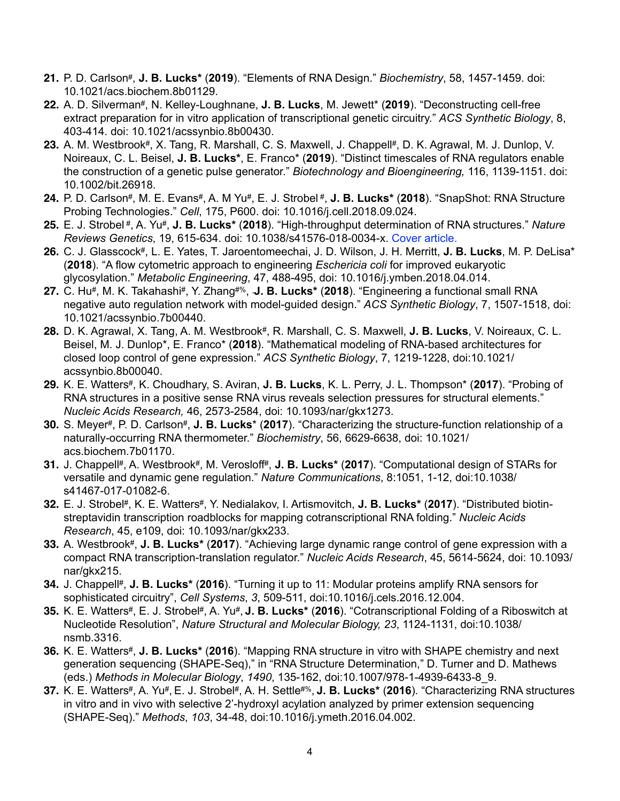- **21.** P. D. Carlson#, **J. B. Lucks\*** (**2019**). "Elements of RNA Design." *Biochemistry*, 58, 1457-1459. doi: 10.1021/acs.biochem.8b01129.
- **22.** A. D. Silverman#, N. Kelley-Loughnane, **J. B. Lucks**, M. Jewett\* (**2019**). "Deconstructing cell-free extract preparation for in vitro application of transcriptional genetic circuitry." *ACS Synthetic Biology*, 8, 403-414. doi: 10.1021/acssynbio.8b00430.
- 23. A. M. Westbrook#, X. Tang, R. Marshall, C. S. Maxwell, J. Chappell#, D. K. Agrawal, M. J. Dunlop, V. Noireaux, C. L. Beisel, **J. B. Lucks\***, E. Franco\* (**2019**). "Distinct timescales of RNA regulators enable the construction of a genetic pulse generator." *Biotechnology and Bioengineering,* 116, 1139-1151. doi: 10.1002/bit.26918.
- **24.** P. D. Carlson#, M. E. Evans#, A. M Yu#, E. J. Strobel #, **J. B. Lucks\*** (**2018**). "SnapShot: RNA Structure Probing Technologies." *Cell*, 175, P600. doi: 10.1016/j.cell.2018.09.024.
- **25.** E. J. Strobel #, A. Yu#, **J. B. Lucks\*** (**2018**). "High-throughput determination of RNA structures." *Nature Reviews Genetics*, 19, 615-634. doi: 10.1038/s41576-018-0034-x. Cover article.
- **26.** C. J. Glasscock#, L. E. Yates, T. Jaroentomeechai, J. D. Wilson, J. H. Merritt, **J. B. Lucks**, M. P. DeLisa\* (**2018**). "A flow cytometric approach to engineering *Eschericia coli* for improved eukaryotic glycosylation." *Metabolic Engineering*, 47, 488-495, doi: 10.1016/j.ymben.2018.04.014.
- **27.** C. Hu#, M. K. Takahashi#, Y. Zhang#%, **J. B. Lucks\*** (**2018**). "Engineering a functional small RNA negative auto regulation network with model-guided design." *ACS Synthetic Biology*, 7, 1507-1518, doi: 10.1021/acssynbio.7b00440.
- **28.** D. K. Agrawal, X. Tang, A. M. Westbrook#, R. Marshall, C. S. Maxwell, **J. B. Lucks**, V. Noireaux, C. L. Beisel, M. J. Dunlop\*, E. Franco\* (**2018**). "Mathematical modeling of RNA-based architectures for closed loop control of gene expression." *ACS Synthetic Biology*, 7, 1219-1228, doi:10.1021/ acssynbio.8b00040.
- **29.** K. E. Watters#, K. Choudhary, S. Aviran, **J. B. Lucks**, K. L. Perry, J. L. Thompson\* (**2017**). "Probing of RNA structures in a positive sense RNA virus reveals selection pressures for structural elements." *Nucleic Acids Research,* 46, 2573-2584, doi: 10.1093/nar/gkx1273.
- **30.** S. Meyer#, P. D. Carlson#, **J. B. Lucks**\* (**2017**). "Characterizing the structure-function relationship of a naturally-occurring RNA thermometer." *Biochemistry*, 56, 6629-6638, doi: 10.1021/ acs.biochem.7b01170.
- **31.** J. Chappell#, A. Westbrook#, M. Verosloff#, **J. B. Lucks\*** (**2017**). "Computational design of STARs for versatile and dynamic gene regulation." *Nature Communications*, 8:1051, 1-12, doi:10.1038/ s41467-017-01082-6.
- **32.** E. J. Strobel#, K. E. Watters#, Y. Nedialakov, I. Artismovitch, **J. B. Lucks\*** (**2017**). "Distributed biotinstreptavidin transcription roadblocks for mapping cotranscriptional RNA folding." *Nucleic Acids Research*, 45, e109, doi: 10.1093/nar/gkx233.
- **33.** A. Westbrook#, **J. B. Lucks\*** (**2017**). "Achieving large dynamic range control of gene expression with a compact RNA transcription-translation regulator." *Nucleic Acids Research*, 45, 5614-5624, doi: 10.1093/ nar/gkx215.
- **34.** J. Chappell#, **J. B. Lucks\*** (**2016**). "Turning it up to 11: Modular proteins amplify RNA sensors for sophisticated circuitry", *Cell Systems*, *3*, 509-511, doi:10.1016/j.cels.2016.12.004.
- **35.** K. E. Watters#, E. J. Strobel#, A. Yu#, **J. B. Lucks\*** (**2016**). "Cotranscriptional Folding of a Riboswitch at Nucleotide Resolution", *Nature Structural and Molecular Biology, 23*, 1124-1131, doi:10.1038/ nsmb.3316.
- **36.** K. E. Watters#, **J. B. Lucks\*** (**2016**). "Mapping RNA structure in vitro with SHAPE chemistry and next generation sequencing (SHAPE-Seq)," in "RNA Structure Determination," D. Turner and D. Mathews (eds.) *Methods in Molecular Biology*, *1490*, 135-162, doi:10.1007/978-1-4939-6433-8\_9.
- **37.** K. E. Watters#, A. Yu#, E. J. Strobel#, A. H. Settle#%, **J. B. Lucks\*** (**2016**). "Characterizing RNA structures in vitro and in vivo with selective 2'-hydroxyl acylation analyzed by primer extension sequencing (SHAPE-Seq)." *Methods*, *103*, 34-48, doi:10.1016/j.ymeth.2016.04.002.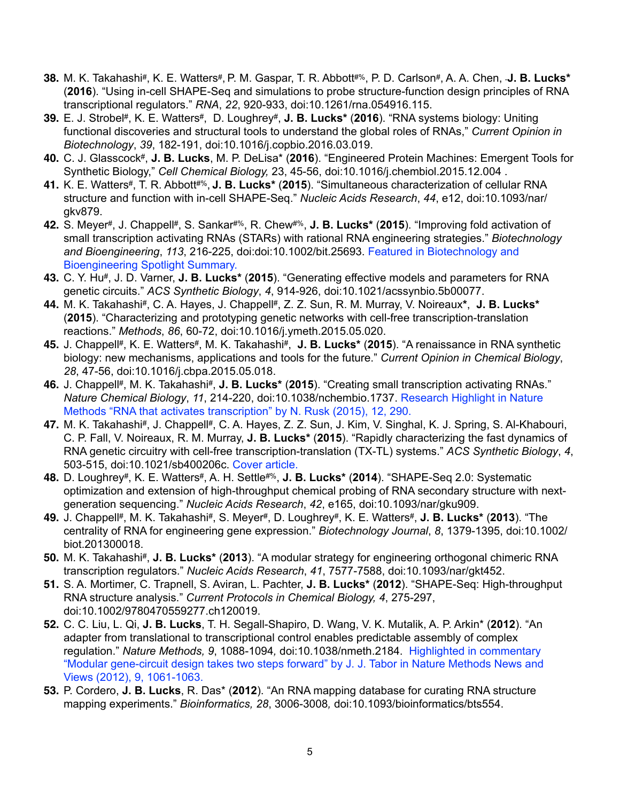- **38.** M. K. Takahashi#, K. E. Watters#, P. M. Gaspar, T. R. Abbott#%, P. D. Carlson#, A. A. Chen, **J. B. Lucks\*** (**2016**). "Using in-cell SHAPE-Seq and simulations to probe structure-function design principles of RNA transcriptional regulators." *RNA*, *22*, 920-933, doi:10.1261/rna.054916.115.
- **39.** E. J. Strobel#, K. E. Watters#, D. Loughrey#, **J. B. Lucks\*** (**2016**). "RNA systems biology: Uniting functional discoveries and structural tools to understand the global roles of RNAs," *Current Opinion in Biotechnology*, *39*, 182-191, doi:10.1016/j.copbio.2016.03.019.
- **40.** C. J. Glasscock#, **J. B. Lucks**, M. P. DeLisa\* (**2016**). "Engineered Protein Machines: Emergent Tools for Synthetic Biology," *Cell Chemical Biology,* 23, 45-56, doi:10.1016/j.chembiol.2015.12.004 .
- **41.** K. E. Watters#, T. R. Abbott#%, **J. B. Lucks\*** (**2015**). "Simultaneous characterization of cellular RNA structure and function with in-cell SHAPE-Seq." *Nucleic Acids Research*, *44*, e12, doi:10.1093/nar/ gkv879.
- **42.** S. Meyer#, J. Chappell#, S. Sankar#%, R. Chew#%, **J. B. Lucks\*** (**2015**). "Improving fold activation of small transcription activating RNAs (STARs) with rational RNA engineering strategies." *Biotechnology and Bioengineering*, *113*, 216-225, doi:doi:10.1002/bit.25693. Featured in Biotechnology and Bioengineering Spotlight Summary.
- **43.** C. Y. Hu#, J. D. Varner, **J. B. Lucks\*** (**2015**). "Generating effective models and parameters for RNA genetic circuits." *ACS Synthetic Biology*, *4*, 914-926, doi:10.1021/acssynbio.5b00077.
- **44.** M. K. Takahashi#, C. A. Hayes, J. Chappell#, Z. Z. Sun, R. M. Murray, V. Noireaux**\***, **J. B. Lucks\*** (**2015**). "Characterizing and prototyping genetic networks with cell-free transcription-translation reactions." *Methods*, *86*, 60-72, doi:10.1016/j.ymeth.2015.05.020.
- **45.** J. Chappell#, K. E. Watters#, M. K. Takahashi#, **J. B. Lucks\*** (**2015**). "A renaissance in RNA synthetic biology: new mechanisms, applications and tools for the future." *Current Opinion in Chemical Biology*, *28*, 47-56, doi:10.1016/j.cbpa.2015.05.018.
- **46.** J. Chappell#, M. K. Takahashi#, **J. B. Lucks\*** (**2015**). "Creating small transcription activating RNAs." *Nature Chemical Biology*, *11*, 214-220, doi:10.1038/nchembio.1737. Research Highlight in Nature Methods "RNA that activates transcription" by N. Rusk (2015), 12, 290.
- **47.** M. K. Takahashi#, J. Chappell#, C. A. Hayes, Z. Z. Sun, J. Kim, V. Singhal, K. J. Spring, S. Al-Khabouri, C. P. Fall, V. Noireaux, R. M. Murray, **J. B. Lucks\*** (**2015**). "Rapidly characterizing the fast dynamics of RNA genetic circuitry with cell-free transcription-translation (TX-TL) systems." *ACS Synthetic Biology*, *4*, 503-515, doi:10.1021/sb400206c. Cover article.
- **48.** D. Loughrey#, K. E. Watters#, A. H. Settle#%, **J. B. Lucks\*** (**2014**). "SHAPE-Seq 2.0: Systematic optimization and extension of high-throughput chemical probing of RNA secondary structure with nextgeneration sequencing." *Nucleic Acids Research*, *42*, e165, doi:10.1093/nar/gku909.
- **49.** J. Chappell#, M. K. Takahashi#, S. Meyer#, D. Loughrey#, K. E. Watters#, **J. B. Lucks\*** (**2013**). "The centrality of RNA for engineering gene expression." *Biotechnology Journal*, *8*, 1379-1395, doi:10.1002/ biot.201300018.
- **50.** M. K. Takahashi#, **J. B. Lucks\*** (**2013**). "A modular strategy for engineering orthogonal chimeric RNA transcription regulators." *Nucleic Acids Research*, *41*, 7577-7588, doi:10.1093/nar/gkt452.
- **51.** S. A. Mortimer, C. Trapnell, S. Aviran, L. Pachter, **J. B. Lucks\*** (**2012**). "SHAPE-Seq: High-throughput RNA structure analysis." *Current Protocols in Chemical Biology, 4*, 275-297, doi:10.1002/9780470559277.ch120019.
- **52.** C. C. Liu, L. Qi, **J. B. Lucks**, T. H. Segall-Shapiro, D. Wang, V. K. Mutalik, A. P. Arkin\* (**2012**). "An adapter from translational to transcriptional control enables predictable assembly of complex regulation." *Nature Methods, 9*, 1088-1094*,* doi:10.1038/nmeth.2184. Highlighted in commentary "Modular gene-circuit design takes two steps forward" by J. J. Tabor in Nature Methods News and Views (2012), 9, 1061-1063.
- **53.** P. Cordero, **J. B. Lucks**, R. Das\* (**2012**). "An RNA mapping database for curating RNA structure mapping experiments." *Bioinformatics, 28*, 3006-3008*,* doi:10.1093/bioinformatics/bts554.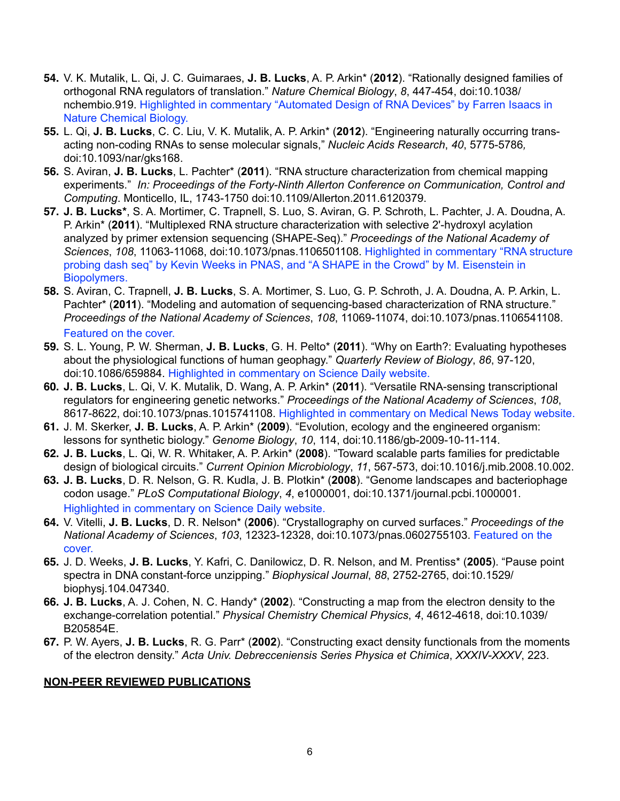- **54.** V. K. Mutalik, L. Qi, J. C. Guimaraes, **J. B. Lucks**, A. P. Arkin\* (**2012**). "Rationally designed families of orthogonal RNA regulators of translation." *Nature Chemical Biology*, *8*, 447-454, doi:10.1038/ nchembio.919. Highlighted in commentary "Automated Design of RNA Devices" by Farren Isaacs in Nature Chemical Biology.
- **55.** L. Qi, **J. B. Lucks**, C. C. Liu, V. K. Mutalik, A. P. Arkin\* (**2012**). "Engineering naturally occurring transacting non-coding RNAs to sense molecular signals," *Nucleic Acids Research*, *40*, 5775-5786*,*  doi:10.1093/nar/gks168.
- **56.** S. Aviran, **J. B. Lucks**, L. Pachter\* (**2011**). "RNA structure characterization from chemical mapping experiments." *In: Proceedings of the Forty-Ninth Allerton Conference on Communication, Control and Computing*. Monticello, IL, 1743-1750 doi:10.1109/Allerton.2011.6120379.
- **57. J. B. Lucks\***, S. A. Mortimer, C. Trapnell, S. Luo, S. Aviran, G. P. Schroth, L. Pachter, J. A. Doudna, A. P. Arkin\* (**2011**). "Multiplexed RNA structure characterization with selective 2'-hydroxyl acylation analyzed by primer extension sequencing (SHAPE-Seq)." *Proceedings of the National Academy of Sciences*, *108*, 11063-11068, doi:10.1073/pnas.1106501108. Highlighted in commentary "RNA structure probing dash seq" by Kevin Weeks in PNAS, and "A SHAPE in the Crowd" by M. Eisenstein in Biopolymers.
- **58.** S. Aviran, C. Trapnell, **J. B. Lucks**, S. A. Mortimer, S. Luo, G. P. Schroth, J. A. Doudna, A. P. Arkin, L. Pachter\* (**2011**). "Modeling and automation of sequencing-based characterization of RNA structure." *Proceedings of the National Academy of Sciences*, *108*, 11069-11074, doi:10.1073/pnas.1106541108. Featured on the cover.
- **59.** S. L. Young, P. W. Sherman, **J. B. Lucks**, G. H. Pelto\* (**2011**). "Why on Earth?: Evaluating hypotheses about the physiological functions of human geophagy." *Quarterly Review of Biology*, *86*, 97-120, doi:10.1086/659884. Highlighted in commentary on Science Daily website.
- **60. J. B. Lucks**, L. Qi, V. K. Mutalik, D. Wang, A. P. Arkin\* (**2011**). "Versatile RNA-sensing transcriptional regulators for engineering genetic networks." *Proceedings of the National Academy of Sciences*, *108*, 8617-8622, doi:10.1073/pnas.1015741108. Highlighted in commentary on Medical News Today website.
- **61.** J. M. Skerker, **J. B. Lucks**, A. P. Arkin\* (**2009**). "Evolution, ecology and the engineered organism: lessons for synthetic biology." *Genome Biology*, *10*, 114, doi:10.1186/gb-2009-10-11-114.
- **62. J. B. Lucks**, L. Qi, W. R. Whitaker, A. P. Arkin\* (**2008**). "Toward scalable parts families for predictable design of biological circuits." *Current Opinion Microbiology*, *11*, 567-573, doi:10.1016/j.mib.2008.10.002.
- **63. J. B. Lucks**, D. R. Nelson, G. R. Kudla, J. B. Plotkin\* (**2008**). "Genome landscapes and bacteriophage codon usage." *PLoS Computational Biology*, *4*, e1000001, doi:10.1371/journal.pcbi.1000001. Highlighted in commentary on Science Daily website.
- **64.** V. Vitelli, **J. B. Lucks**, D. R. Nelson\* (**2006**). "Crystallography on curved surfaces." *Proceedings of the National Academy of Sciences*, *103*, 12323-12328, doi:10.1073/pnas.0602755103. Featured on the cover.
- **65.** J. D. Weeks, **J. B. Lucks**, Y. Kafri, C. Danilowicz, D. R. Nelson, and M. Prentiss\* (**2005**). "Pause point spectra in DNA constant-force unzipping." *Biophysical Journal*, *88*, 2752-2765, doi:10.1529/ biophysj.104.047340.
- **66. J. B. Lucks**, A. J. Cohen, N. C. Handy\* (**2002**). "Constructing a map from the electron density to the exchange-correlation potential." *Physical Chemistry Chemical Physics*, *4*, 4612-4618, doi:10.1039/ B205854E.
- **67.** P. W. Ayers, **J. B. Lucks**, R. G. Parr\* (**2002**). "Constructing exact density functionals from the moments of the electron density." *Acta Univ. Debrecceniensis Series Physica et Chimica*, *XXXIV-XXXV*, 223.

#### **NON-PEER REVIEWED PUBLICATIONS**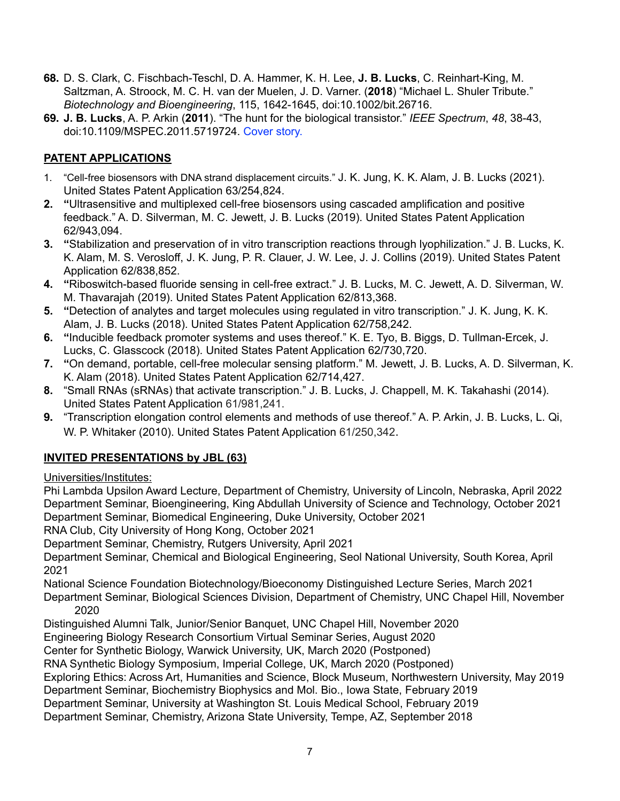- **68.** D. S. Clark, C. Fischbach-Teschl, D. A. Hammer, K. H. Lee, **J. B. Lucks**, C. Reinhart-King, M. Saltzman, A. Stroock, M. C. H. van der Muelen, J. D. Varner. (**2018**) "Michael L. Shuler Tribute." *Biotechnology and Bioengineering*, 115, 1642-1645, doi:10.1002/bit.26716.
- **69. J. B. Lucks**, A. P. Arkin (**2011**). "The hunt for the biological transistor." *IEEE Spectrum*, *48*, 38-43, doi:10.1109/MSPEC.2011.5719724. Cover story.

## **PATENT APPLICATIONS**

- 1. "Cell-free biosensors with DNA strand displacement circuits." J. K. Jung, K. K. Alam, J. B. Lucks (2021). United States Patent Application 63/254,824.
- **2. "**Ultrasensitive and multiplexed cell-free biosensors using cascaded amplification and positive feedback." A. D. Silverman, M. C. Jewett, J. B. Lucks (2019). United States Patent Application 62/943,094.
- **3. "**Stabilization and preservation of in vitro transcription reactions through lyophilization." J. B. Lucks, K. K. Alam, M. S. Verosloff, J. K. Jung, P. R. Clauer, J. W. Lee, J. J. Collins (2019). United States Patent Application 62/838,852.
- **4. "**Riboswitch-based fluoride sensing in cell-free extract." J. B. Lucks, M. C. Jewett, A. D. Silverman, W. M. Thavarajah (2019). United States Patent Application 62/813,368.
- **5. "**Detection of analytes and target molecules using regulated in vitro transcription." J. K. Jung, K. K. Alam, J. B. Lucks (2018). United States Patent Application 62/758,242.
- **6. "**Inducible feedback promoter systems and uses thereof." K. E. Tyo, B. Biggs, D. Tullman-Ercek, J. Lucks, C. Glasscock (2018). United States Patent Application 62/730,720.
- **7. "**On demand, portable, cell-free molecular sensing platform." M. Jewett, J. B. Lucks, A. D. Silverman, K. K. Alam (2018). United States Patent Application 62/714,427.
- **8.** "Small RNAs (sRNAs) that activate transcription." J. B. Lucks, J. Chappell, M. K. Takahashi (2014). United States Patent Application 61/981,241.
- **9.** "Transcription elongation control elements and methods of use thereof." A. P. Arkin, J. B. Lucks, L. Qi, W. P. Whitaker (2010). United States Patent Application 61/250,342.

## **INVITED PRESENTATIONS by JBL (63)**

Universities/Institutes:

Phi Lambda Upsilon Award Lecture, Department of Chemistry, University of Lincoln, Nebraska, April 2022 Department Seminar, Bioengineering, King Abdullah University of Science and Technology, October 2021 Department Seminar, Biomedical Engineering, Duke University, October 2021

RNA Club, City University of Hong Kong, October 2021

Department Seminar, Chemistry, Rutgers University, April 2021

Department Seminar, Chemical and Biological Engineering, Seol National University, South Korea, April 2021

National Science Foundation Biotechnology/Bioeconomy Distinguished Lecture Series, March 2021 Department Seminar, Biological Sciences Division, Department of Chemistry, UNC Chapel Hill, November

2020

Distinguished Alumni Talk, Junior/Senior Banquet, UNC Chapel Hill, November 2020

Engineering Biology Research Consortium Virtual Seminar Series, August 2020

Center for Synthetic Biology, Warwick University, UK, March 2020 (Postponed)

RNA Synthetic Biology Symposium, Imperial College, UK, March 2020 (Postponed)

Exploring Ethics: Across Art, Humanities and Science, Block Museum, Northwestern University, May 2019

Department Seminar, Biochemistry Biophysics and Mol. Bio., Iowa State, February 2019

Department Seminar, University at Washington St. Louis Medical School, February 2019

Department Seminar, Chemistry, Arizona State University, Tempe, AZ, September 2018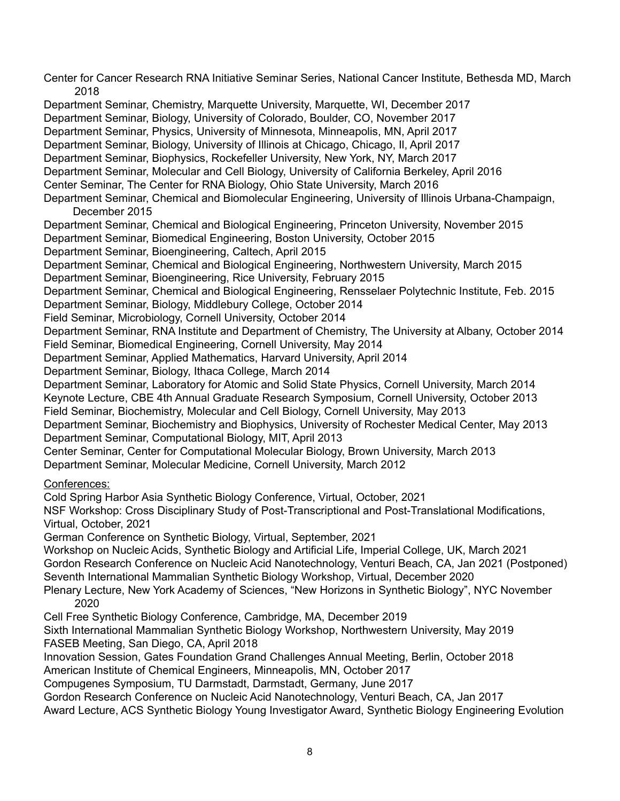Center for Cancer Research RNA Initiative Seminar Series, National Cancer Institute, Bethesda MD, March 2018 Department Seminar, Chemistry, Marquette University, Marquette, WI, December 2017 Department Seminar, Biology, University of Colorado, Boulder, CO, November 2017 Department Seminar, Physics, University of Minnesota, Minneapolis, MN, April 2017 Department Seminar, Biology, University of Illinois at Chicago, Chicago, Il, April 2017 Department Seminar, Biophysics, Rockefeller University, New York, NY, March 2017 Department Seminar, Molecular and Cell Biology, University of California Berkeley, April 2016 Center Seminar, The Center for RNA Biology, Ohio State University, March 2016 Department Seminar, Chemical and Biomolecular Engineering, University of Illinois Urbana-Champaign, December 2015 Department Seminar, Chemical and Biological Engineering, Princeton University, November 2015 Department Seminar, Biomedical Engineering, Boston University, October 2015 Department Seminar, Bioengineering, Caltech, April 2015 Department Seminar, Chemical and Biological Engineering, Northwestern University, March 2015 Department Seminar, Bioengineering, Rice University, February 2015 Department Seminar, Chemical and Biological Engineering, Rensselaer Polytechnic Institute, Feb. 2015 Department Seminar, Biology, Middlebury College, October 2014 Field Seminar, Microbiology, Cornell University, October 2014 Department Seminar, RNA Institute and Department of Chemistry, The University at Albany, October 2014 Field Seminar, Biomedical Engineering, Cornell University, May 2014 Department Seminar, Applied Mathematics, Harvard University, April 2014 Department Seminar, Biology, Ithaca College, March 2014 Department Seminar, Laboratory for Atomic and Solid State Physics, Cornell University, March 2014 Keynote Lecture, CBE 4th Annual Graduate Research Symposium, Cornell University, October 2013 Field Seminar, Biochemistry, Molecular and Cell Biology, Cornell University, May 2013 Department Seminar, Biochemistry and Biophysics, University of Rochester Medical Center, May 2013 Department Seminar, Computational Biology, MIT, April 2013 Center Seminar, Center for Computational Molecular Biology, Brown University, March 2013 Department Seminar, Molecular Medicine, Cornell University, March 2012 Conferences: Cold Spring Harbor Asia Synthetic Biology Conference, Virtual, October, 2021 NSF Workshop: Cross Disciplinary Study of Post-Transcriptional and Post-Translational Modifications, Virtual, October, 2021 German Conference on Synthetic Biology, Virtual, September, 2021 Workshop on Nucleic Acids, Synthetic Biology and Artificial Life, Imperial College, UK, March 2021 Gordon Research Conference on Nucleic Acid Nanotechnology, Venturi Beach, CA, Jan 2021 (Postponed) Seventh International Mammalian Synthetic Biology Workshop, Virtual, December 2020 Plenary Lecture, New York Academy of Sciences, "New Horizons in Synthetic Biology", NYC November 2020 Cell Free Synthetic Biology Conference, Cambridge, MA, December 2019 Sixth International Mammalian Synthetic Biology Workshop, Northwestern University, May 2019 FASEB Meeting, San Diego, CA, April 2018 Innovation Session, Gates Foundation Grand Challenges Annual Meeting, Berlin, October 2018 American Institute of Chemical Engineers, Minneapolis, MN, October 2017 Compugenes Symposium, TU Darmstadt, Darmstadt, Germany, June 2017 Gordon Research Conference on Nucleic Acid Nanotechnology, Venturi Beach, CA, Jan 2017 Award Lecture, ACS Synthetic Biology Young Investigator Award, Synthetic Biology Engineering Evolution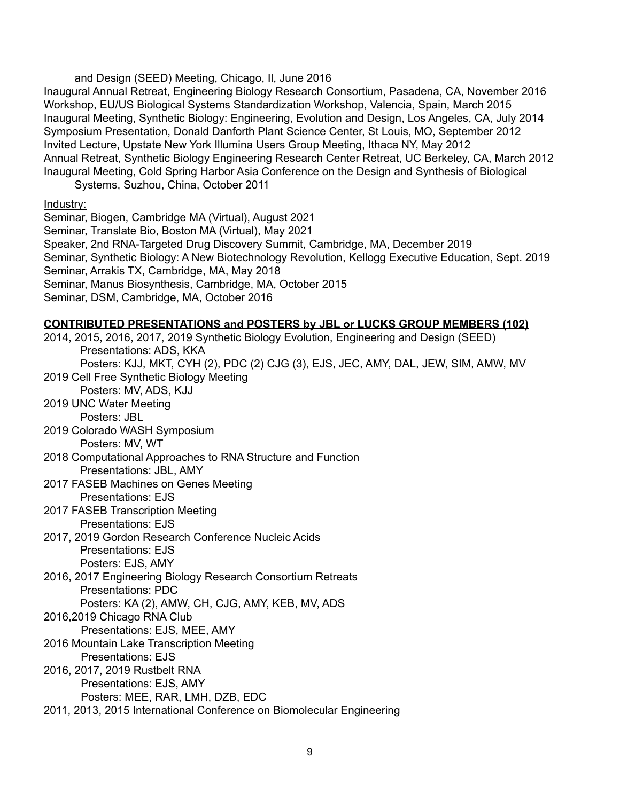and Design (SEED) Meeting, Chicago, Il, June 2016

Inaugural Annual Retreat, Engineering Biology Research Consortium, Pasadena, CA, November 2016 Workshop, EU/US Biological Systems Standardization Workshop, Valencia, Spain, March 2015 Inaugural Meeting, Synthetic Biology: Engineering, Evolution and Design, Los Angeles, CA, July 2014 Symposium Presentation, Donald Danforth Plant Science Center, St Louis, MO, September 2012 Invited Lecture, Upstate New York Illumina Users Group Meeting, Ithaca NY, May 2012 Annual Retreat, Synthetic Biology Engineering Research Center Retreat, UC Berkeley, CA, March 2012 Inaugural Meeting, Cold Spring Harbor Asia Conference on the Design and Synthesis of Biological Systems, Suzhou, China, October 2011

Industry:

Seminar, Biogen, Cambridge MA (Virtual), August 2021

- Seminar, Translate Bio, Boston MA (Virtual), May 2021
- Speaker, 2nd RNA-Targeted Drug Discovery Summit, Cambridge, MA, December 2019
- Seminar, Synthetic Biology: A New Biotechnology Revolution, Kellogg Executive Education, Sept. 2019 Seminar, Arrakis TX, Cambridge, MA, May 2018
- Seminar, Manus Biosynthesis, Cambridge, MA, October 2015
- Seminar, DSM, Cambridge, MA, October 2016

#### **CONTRIBUTED PRESENTATIONS and POSTERS by JBL or LUCKS GROUP MEMBERS (102)**

2014, 2015, 2016, 2017, 2019 Synthetic Biology Evolution, Engineering and Design (SEED) Presentations: ADS, KKA Posters: KJJ, MKT, CYH (2), PDC (2) CJG (3), EJS, JEC, AMY, DAL, JEW, SIM, AMW, MV 2019 Cell Free Synthetic Biology Meeting Posters: MV, ADS, KJJ 2019 UNC Water Meeting Posters: JBL 2019 Colorado WASH Symposium Posters: MV, WT 2018 Computational Approaches to RNA Structure and Function Presentations: JBL, AMY 2017 FASEB Machines on Genes Meeting Presentations: EJS 2017 FASEB Transcription Meeting Presentations: EJS 2017, 2019 Gordon Research Conference Nucleic Acids Presentations: EJS Posters: EJS, AMY 2016, 2017 Engineering Biology Research Consortium Retreats Presentations: PDC Posters: KA (2), AMW, CH, CJG, AMY, KEB, MV, ADS 2016,2019 Chicago RNA Club Presentations: EJS, MEE, AMY 2016 Mountain Lake Transcription Meeting Presentations: EJS 2016, 2017, 2019 Rustbelt RNA Presentations: EJS, AMY Posters: MEE, RAR, LMH, DZB, EDC 2011, 2013, 2015 International Conference on Biomolecular Engineering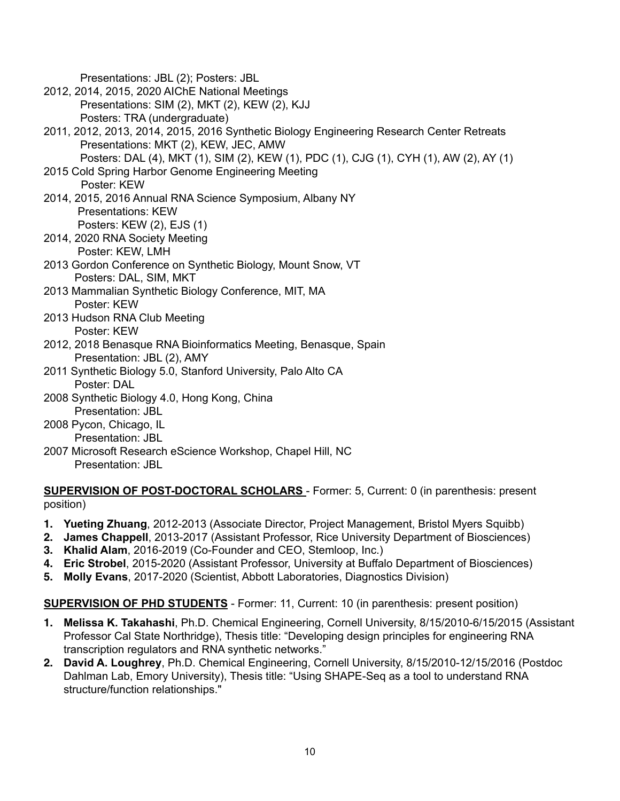Presentations: JBL (2); Posters: JBL

- 2012, 2014, 2015, 2020 AIChE National Meetings Presentations: SIM (2), MKT (2), KEW (2), KJJ Posters: TRA (undergraduate)
- 2011, 2012, 2013, 2014, 2015, 2016 Synthetic Biology Engineering Research Center Retreats Presentations: MKT (2), KEW, JEC, AMW
	- Posters: DAL (4), MKT (1), SIM (2), KEW (1), PDC (1), CJG (1), CYH (1), AW (2), AY (1)
- 2015 Cold Spring Harbor Genome Engineering Meeting Poster: KEW
- 2014, 2015, 2016 Annual RNA Science Symposium, Albany NY Presentations: KEW Posters: KEW (2), EJS (1)
- 2014, 2020 RNA Society Meeting Poster: KEW, LMH
- 2013 Gordon Conference on Synthetic Biology, Mount Snow, VT Posters: DAL, SIM, MKT
- 2013 Mammalian Synthetic Biology Conference, MIT, MA Poster: KEW
- 2013 Hudson RNA Club Meeting Poster: KEW
- 2012, 2018 Benasque RNA Bioinformatics Meeting, Benasque, Spain Presentation: JBL (2), AMY
- 2011 Synthetic Biology 5.0, Stanford University, Palo Alto CA Poster: DAL
- 2008 Synthetic Biology 4.0, Hong Kong, China Presentation: JBL
- 2008 Pycon, Chicago, IL Presentation: JBL
- 2007 Microsoft Research eScience Workshop, Chapel Hill, NC Presentation: JBL

#### **SUPERVISION OF POST-DOCTORAL SCHOLARS** - Former: 5, Current: 0 (in parenthesis: present position)

- **1. Yueting Zhuang**, 2012-2013 (Associate Director, Project Management, Bristol Myers Squibb)
- **2. James Chappell**, 2013-2017 (Assistant Professor, Rice University Department of Biosciences)
- **3. Khalid Alam**, 2016-2019 (Co-Founder and CEO, Stemloop, Inc.)
- **4. Eric Strobel**, 2015-2020 (Assistant Professor, University at Buffalo Department of Biosciences)
- **5. Molly Evans**, 2017-2020 (Scientist, Abbott Laboratories, Diagnostics Division)

#### **SUPERVISION OF PHD STUDENTS** - Former: 11, Current: 10 (in parenthesis: present position)

- **1. Melissa K. Takahashi**, Ph.D. Chemical Engineering, Cornell University, 8/15/2010-6/15/2015 (Assistant Professor Cal State Northridge), Thesis title: "Developing design principles for engineering RNA transcription regulators and RNA synthetic networks."
- **2. David A. Loughrey**, Ph.D. Chemical Engineering, Cornell University, 8/15/2010-12/15/2016 (Postdoc Dahlman Lab, Emory University), Thesis title: "Using SHAPE-Seq as a tool to understand RNA structure/function relationships."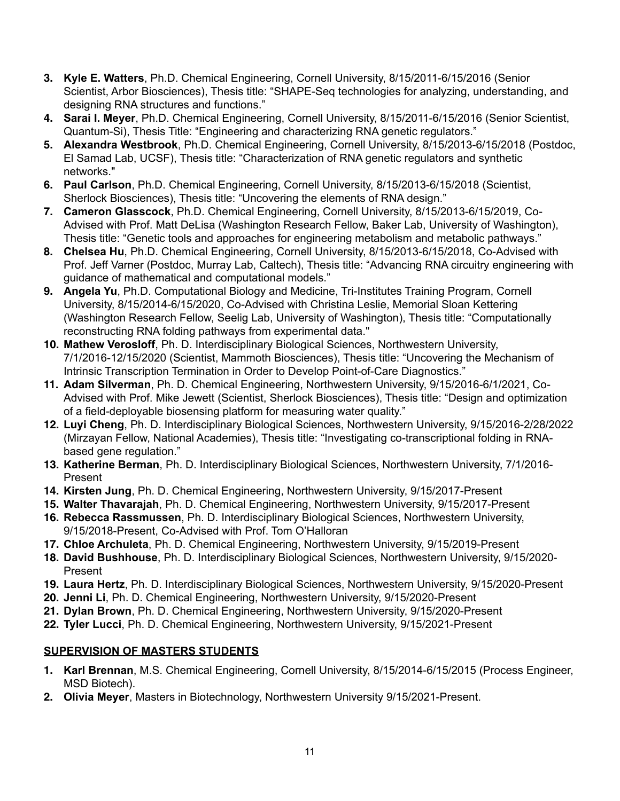- **3. Kyle E. Watters**, Ph.D. Chemical Engineering, Cornell University, 8/15/2011-6/15/2016 (Senior Scientist, Arbor Biosciences), Thesis title: "SHAPE-Seq technologies for analyzing, understanding, and designing RNA structures and functions."
- **4. Sarai I. Meyer**, Ph.D. Chemical Engineering, Cornell University, 8/15/2011-6/15/2016 (Senior Scientist, Quantum-Si), Thesis Title: "Engineering and characterizing RNA genetic regulators."
- **5. Alexandra Westbrook**, Ph.D. Chemical Engineering, Cornell University, 8/15/2013-6/15/2018 (Postdoc, El Samad Lab, UCSF), Thesis title: "Characterization of RNA genetic regulators and synthetic networks."
- **6. Paul Carlson**, Ph.D. Chemical Engineering, Cornell University, 8/15/2013-6/15/2018 (Scientist, Sherlock Biosciences), Thesis title: "Uncovering the elements of RNA design."
- **7. Cameron Glasscock**, Ph.D. Chemical Engineering, Cornell University, 8/15/2013-6/15/2019, Co-Advised with Prof. Matt DeLisa (Washington Research Fellow, Baker Lab, University of Washington), Thesis title: "Genetic tools and approaches for engineering metabolism and metabolic pathways."
- **8. Chelsea Hu**, Ph.D. Chemical Engineering, Cornell University, 8/15/2013-6/15/2018, Co-Advised with Prof. Jeff Varner (Postdoc, Murray Lab, Caltech), Thesis title: "Advancing RNA circuitry engineering with guidance of mathematical and computational models."
- **9. Angela Yu**, Ph.D. Computational Biology and Medicine, Tri-Institutes Training Program, Cornell University, 8/15/2014-6/15/2020, Co-Advised with Christina Leslie, Memorial Sloan Kettering (Washington Research Fellow, Seelig Lab, University of Washington), Thesis title: "Computationally reconstructing RNA folding pathways from experimental data."
- **10. Mathew Verosloff**, Ph. D. Interdisciplinary Biological Sciences, Northwestern University, 7/1/2016-12/15/2020 (Scientist, Mammoth Biosciences), Thesis title: "Uncovering the Mechanism of Intrinsic Transcription Termination in Order to Develop Point-of-Care Diagnostics."
- **11. Adam Silverman**, Ph. D. Chemical Engineering, Northwestern University, 9/15/2016-6/1/2021, Co-Advised with Prof. Mike Jewett (Scientist, Sherlock Biosciences), Thesis title: "Design and optimization of a field-deployable biosensing platform for measuring water quality."
- **12. Luyi Cheng**, Ph. D. Interdisciplinary Biological Sciences, Northwestern University, 9/15/2016-2/28/2022 (Mirzayan Fellow, National Academies), Thesis title: "Investigating co-transcriptional folding in RNAbased gene regulation."
- **13. Katherine Berman**, Ph. D. Interdisciplinary Biological Sciences, Northwestern University, 7/1/2016- Present
- **14. Kirsten Jung**, Ph. D. Chemical Engineering, Northwestern University, 9/15/2017-Present
- **15. Walter Thavarajah**, Ph. D. Chemical Engineering, Northwestern University, 9/15/2017-Present
- **16. Rebecca Rassmussen**, Ph. D. Interdisciplinary Biological Sciences, Northwestern University, 9/15/2018-Present, Co-Advised with Prof. Tom O'Halloran
- **17. Chloe Archuleta**, Ph. D. Chemical Engineering, Northwestern University, 9/15/2019-Present
- **18. David Bushhouse**, Ph. D. Interdisciplinary Biological Sciences, Northwestern University, 9/15/2020- Present
- **19. Laura Hertz**, Ph. D. Interdisciplinary Biological Sciences, Northwestern University, 9/15/2020-Present
- **20. Jenni Li**, Ph. D. Chemical Engineering, Northwestern University, 9/15/2020-Present
- **21. Dylan Brown**, Ph. D. Chemical Engineering, Northwestern University, 9/15/2020-Present
- **22. Tyler Lucci**, Ph. D. Chemical Engineering, Northwestern University, 9/15/2021-Present

#### **SUPERVISION OF MASTERS STUDENTS**

- **1. Karl Brennan**, M.S. Chemical Engineering, Cornell University, 8/15/2014-6/15/2015 (Process Engineer, MSD Biotech).
- **2. Olivia Meyer**, Masters in Biotechnology, Northwestern University 9/15/2021-Present.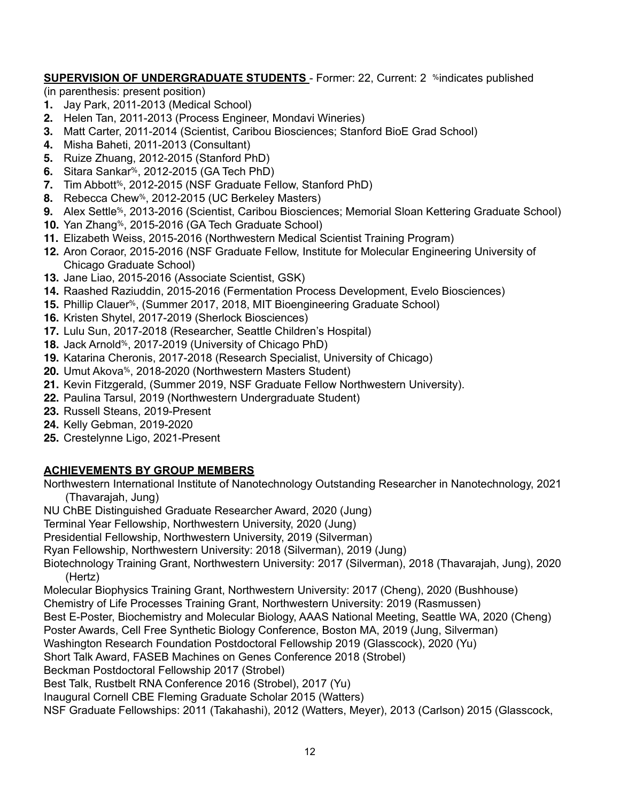#### **SUPERVISION OF UNDERGRADUATE STUDENTS** - Former: 22, Current: 2 %indicates published

(in parenthesis: present position)

- **1.** Jay Park, 2011-2013 (Medical School)
- **2.** Helen Tan, 2011-2013 (Process Engineer, Mondavi Wineries)
- **3.** Matt Carter, 2011-2014 (Scientist, Caribou Biosciences; Stanford BioE Grad School)
- **4.** Misha Baheti, 2011-2013 (Consultant)
- **5.** Ruize Zhuang, 2012-2015 (Stanford PhD)
- **6.** Sitara Sankar%, 2012-2015 (GA Tech PhD)
- **7.** Tim Abbott%, 2012-2015 (NSF Graduate Fellow, Stanford PhD)
- **8.** Rebecca Chew%, 2012-2015 (UC Berkeley Masters)
- **9.** Alex Settle%, 2013-2016 (Scientist, Caribou Biosciences; Memorial Sloan Kettering Graduate School)
- **10.** Yan Zhang%, 2015-2016 (GA Tech Graduate School)
- **11.** Elizabeth Weiss, 2015-2016 (Northwestern Medical Scientist Training Program)
- **12.** Aron Coraor, 2015-2016 (NSF Graduate Fellow, Institute for Molecular Engineering University of Chicago Graduate School)
- **13.** Jane Liao, 2015-2016 (Associate Scientist, GSK)
- **14.** Raashed Raziuddin, 2015-2016 (Fermentation Process Development, Evelo Biosciences)
- **15.** Phillip Clauer%, (Summer 2017, 2018, MIT Bioengineering Graduate School)
- **16.** Kristen Shytel, 2017-2019 (Sherlock Biosciences)
- **17.** Lulu Sun, 2017-2018 (Researcher, Seattle Children's Hospital)
- **18.** Jack Arnold%, 2017-2019 (University of Chicago PhD)
- **19.** Katarina Cheronis, 2017-2018 (Research Specialist, University of Chicago)
- **20.** Umut Akova%, 2018-2020 (Northwestern Masters Student)
- **21.** Kevin Fitzgerald, (Summer 2019, NSF Graduate Fellow Northwestern University).
- **22.** Paulina Tarsul, 2019 (Northwestern Undergraduate Student)
- **23.** Russell Steans, 2019-Present
- **24.** Kelly Gebman, 2019-2020
- **25.** Crestelynne Ligo, 2021-Present

## **ACHIEVEMENTS BY GROUP MEMBERS**

Northwestern International Institute of Nanotechnology Outstanding Researcher in Nanotechnology, 2021 (Thavarajah, Jung)

NU ChBE Distinguished Graduate Researcher Award, 2020 (Jung)

Terminal Year Fellowship, Northwestern University, 2020 (Jung)

Presidential Fellowship, Northwestern University, 2019 (Silverman)

Ryan Fellowship, Northwestern University: 2018 (Silverman), 2019 (Jung)

Biotechnology Training Grant, Northwestern University: 2017 (Silverman), 2018 (Thavarajah, Jung), 2020 (Hertz)

Molecular Biophysics Training Grant, Northwestern University: 2017 (Cheng), 2020 (Bushhouse)

Chemistry of Life Processes Training Grant, Northwestern University: 2019 (Rasmussen)

Best E-Poster, Biochemistry and Molecular Biology, AAAS National Meeting, Seattle WA, 2020 (Cheng)

Poster Awards, Cell Free Synthetic Biology Conference, Boston MA, 2019 (Jung, Silverman)

Washington Research Foundation Postdoctoral Fellowship 2019 (Glasscock), 2020 (Yu)

Short Talk Award, FASEB Machines on Genes Conference 2018 (Strobel)

Beckman Postdoctoral Fellowship 2017 (Strobel)

Best Talk, Rustbelt RNA Conference 2016 (Strobel), 2017 (Yu)

Inaugural Cornell CBE Fleming Graduate Scholar 2015 (Watters)

NSF Graduate Fellowships: 2011 (Takahashi), 2012 (Watters, Meyer), 2013 (Carlson) 2015 (Glasscock,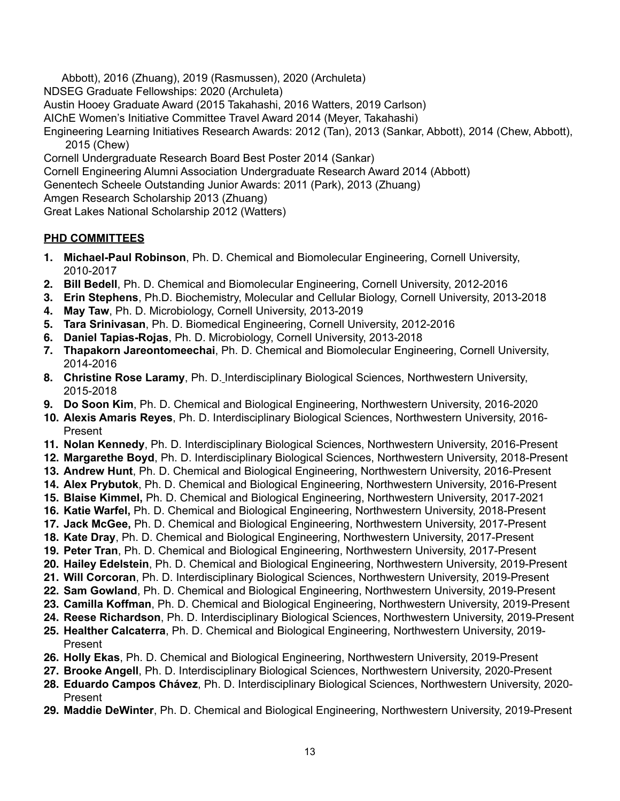Abbott), 2016 (Zhuang), 2019 (Rasmussen), 2020 (Archuleta) NDSEG Graduate Fellowships: 2020 (Archuleta) Austin Hooey Graduate Award (2015 Takahashi, 2016 Watters, 2019 Carlson) AIChE Women's Initiative Committee Travel Award 2014 (Meyer, Takahashi) Engineering Learning Initiatives Research Awards: 2012 (Tan), 2013 (Sankar, Abbott), 2014 (Chew, Abbott), 2015 (Chew) Cornell Undergraduate Research Board Best Poster 2014 (Sankar) Cornell Engineering Alumni Association Undergraduate Research Award 2014 (Abbott) Genentech Scheele Outstanding Junior Awards: 2011 (Park), 2013 (Zhuang) Amgen Research Scholarship 2013 (Zhuang) Great Lakes National Scholarship 2012 (Watters)

#### **PHD COMMITTEES**

- **1. Michael-Paul Robinson**, Ph. D. Chemical and Biomolecular Engineering, Cornell University, 2010-2017
- **2. Bill Bedell**, Ph. D. Chemical and Biomolecular Engineering, Cornell University, 2012-2016
- **3. Erin Stephens**, Ph.D. Biochemistry, Molecular and Cellular Biology, Cornell University, 2013-2018
- **4. May Taw**, Ph. D. Microbiology, Cornell University, 2013-2019
- **5. Tara Srinivasan**, Ph. D. Biomedical Engineering, Cornell University, 2012-2016
- **6. Daniel Tapias-Rojas**, Ph. D. Microbiology, Cornell University, 2013-2018
- **7. Thapakorn Jareontomeechai**, Ph. D. Chemical and Biomolecular Engineering, Cornell University, 2014-2016
- **8. Christine Rose Laramy**, Ph. D. Interdisciplinary Biological Sciences, Northwestern University, 2015-2018
- **9. Do Soon Kim**, Ph. D. Chemical and Biological Engineering, Northwestern University, 2016-2020
- **10. Alexis Amaris Reyes**, Ph. D. Interdisciplinary Biological Sciences, Northwestern University, 2016- Present
- **11. Nolan Kennedy**, Ph. D. Interdisciplinary Biological Sciences, Northwestern University, 2016-Present
- **12. Margarethe Boyd**, Ph. D. Interdisciplinary Biological Sciences, Northwestern University, 2018-Present
- **13. Andrew Hunt**, Ph. D. Chemical and Biological Engineering, Northwestern University, 2016-Present
- **14. Alex Prybutok**, Ph. D. Chemical and Biological Engineering, Northwestern University, 2016-Present
- **15. Blaise Kimmel,** Ph. D. Chemical and Biological Engineering, Northwestern University, 2017-2021
- **16. Katie Warfel,** Ph. D. Chemical and Biological Engineering, Northwestern University, 2018-Present
- **17. Jack McGee,** Ph. D. Chemical and Biological Engineering, Northwestern University, 2017-Present
- **18. Kate Dray**, Ph. D. Chemical and Biological Engineering, Northwestern University, 2017-Present
- **19. Peter Tran**, Ph. D. Chemical and Biological Engineering, Northwestern University, 2017-Present
- **20. Hailey Edelstein**, Ph. D. Chemical and Biological Engineering, Northwestern University, 2019-Present
- **21. Will Corcoran**, Ph. D. Interdisciplinary Biological Sciences, Northwestern University, 2019-Present
- **22. Sam Gowland**, Ph. D. Chemical and Biological Engineering, Northwestern University, 2019-Present
- **23. Camilla Koffman**, Ph. D. Chemical and Biological Engineering, Northwestern University, 2019-Present
- **24. Reese Richardson**, Ph. D. Interdisciplinary Biological Sciences, Northwestern University, 2019-Present
- **25. Healther Calcaterra**, Ph. D. Chemical and Biological Engineering, Northwestern University, 2019- Present
- **26. Holly Ekas**, Ph. D. Chemical and Biological Engineering, Northwestern University, 2019-Present
- **27. Brooke Angell**, Ph. D. Interdisciplinary Biological Sciences, Northwestern University, 2020-Present
- **28. Eduardo Campos Chávez**, Ph. D. Interdisciplinary Biological Sciences, Northwestern University, 2020- Present
- **29. Maddie DeWinter**, Ph. D. Chemical and Biological Engineering, Northwestern University, 2019-Present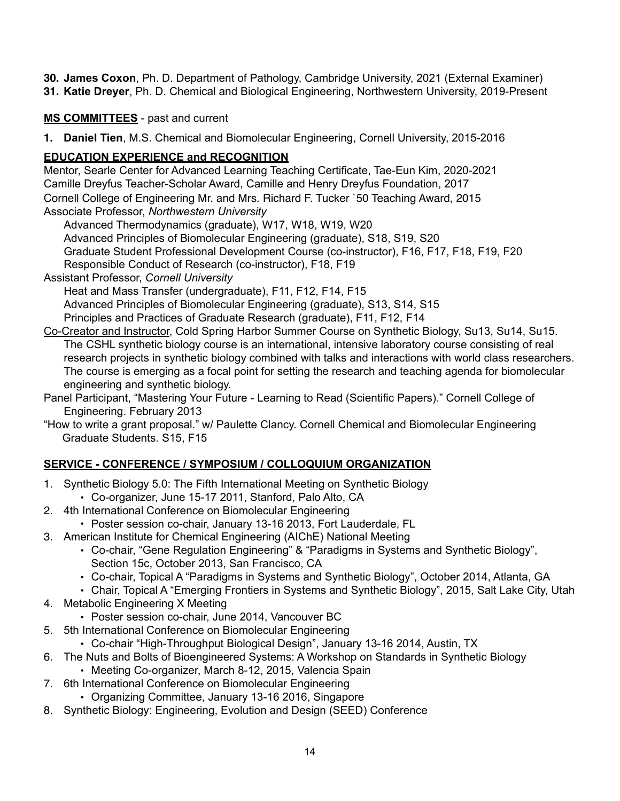- **30. James Coxon**, Ph. D. Department of Pathology, Cambridge University, 2021 (External Examiner)
- **31. Katie Dreyer**, Ph. D. Chemical and Biological Engineering, Northwestern University, 2019-Present

### **MS COMMITTEES** - past and current

**1. Daniel Tien**, M.S. Chemical and Biomolecular Engineering, Cornell University, 2015-2016

# **EDUCATION EXPERIENCE and RECOGNITION**

Mentor, Searle Center for Advanced Learning Teaching Certificate, Tae-Eun Kim, 2020-2021 Camille Dreyfus Teacher-Scholar Award, Camille and Henry Dreyfus Foundation, 2017 Cornell College of Engineering Mr. and Mrs. Richard F. Tucker `50 Teaching Award, 2015 Associate Professor, *Northwestern University*

Advanced Thermodynamics (graduate), W17, W18, W19, W20 Advanced Principles of Biomolecular Engineering (graduate), S18, S19, S20 Graduate Student Professional Development Course (co-instructor), F16, F17, F18, F19, F20 Responsible Conduct of Research (co-instructor), F18, F19

Assistant Professor, *Cornell University*

Heat and Mass Transfer (undergraduate), F11, F12, F14, F15 Advanced Principles of Biomolecular Engineering (graduate), S13, S14, S15 Principles and Practices of Graduate Research (graduate), F11, F12, F14

- Co-Creator and Instructor, Cold Spring Harbor Summer Course on Synthetic Biology, Su13, Su14, Su15. The CSHL synthetic biology course is an international, intensive laboratory course consisting of real research projects in synthetic biology combined with talks and interactions with world class researchers. The course is emerging as a focal point for setting the research and teaching agenda for biomolecular engineering and synthetic biology.
- Panel Participant, "Mastering Your Future Learning to Read (Scientific Papers)." Cornell College of Engineering. February 2013
- "How to write a grant proposal." w/ Paulette Clancy. Cornell Chemical and Biomolecular Engineering Graduate Students. S15, F15

# **SERVICE - CONFERENCE / SYMPOSIUM / COLLOQUIUM ORGANIZATION**

- 1. Synthetic Biology 5.0: The Fifth International Meeting on Synthetic Biology • Co-organizer, June 15-17 2011, Stanford, Palo Alto, CA
- 2. 4th International Conference on Biomolecular Engineering
	- Poster session co-chair, January 13-16 2013, Fort Lauderdale, FL
- 3. American Institute for Chemical Engineering (AIChE) National Meeting
	- Co-chair, "Gene Regulation Engineering" & "Paradigms in Systems and Synthetic Biology", Section 15c, October 2013, San Francisco, CA
	- Co-chair, Topical A "Paradigms in Systems and Synthetic Biology", October 2014, Atlanta, GA
	- Chair, Topical A "Emerging Frontiers in Systems and Synthetic Biology", 2015, Salt Lake City, Utah
- 4. Metabolic Engineering X Meeting
	- Poster session co-chair, June 2014, Vancouver BC
- 5. 5th International Conference on Biomolecular Engineering
	- Co-chair "High-Throughput Biological Design", January 13-16 2014, Austin, TX
- 6. The Nuts and Bolts of Bioengineered Systems: A Workshop on Standards in Synthetic Biology
	- Meeting Co-organizer, March 8-12, 2015, Valencia Spain
- 7. 6th International Conference on Biomolecular Engineering
	- Organizing Committee, January 13-16 2016, Singapore
- 8. Synthetic Biology: Engineering, Evolution and Design (SEED) Conference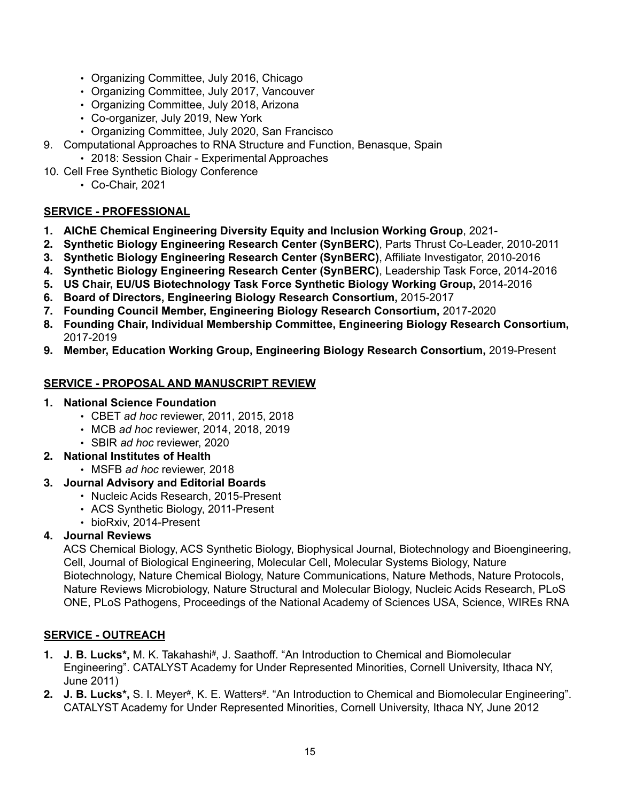- Organizing Committee, July 2016, Chicago
- Organizing Committee, July 2017, Vancouver
- Organizing Committee, July 2018, Arizona
- Co-organizer, July 2019, New York
- Organizing Committee, July 2020, San Francisco
- 9. Computational Approaches to RNA Structure and Function, Benasque, Spain
	- 2018: Session Chair Experimental Approaches
- 10. Cell Free Synthetic Biology Conference
	- Co-Chair, 2021

#### **SERVICE - PROFESSIONAL**

- **1. AIChE Chemical Engineering Diversity Equity and Inclusion Working Group**, 2021-
- **2. Synthetic Biology Engineering Research Center (SynBERC)**, Parts Thrust Co-Leader, 2010-2011
- **3. Synthetic Biology Engineering Research Center (SynBERC)**, Affiliate Investigator, 2010-2016
- **4. Synthetic Biology Engineering Research Center (SynBERC)**, Leadership Task Force, 2014-2016
- **5. US Chair, EU/US Biotechnology Task Force Synthetic Biology Working Group,** 2014-2016
- **6. Board of Directors, Engineering Biology Research Consortium,** 2015-2017
- **7. Founding Council Member, Engineering Biology Research Consortium,** 2017-2020
- **8. Founding Chair, Individual Membership Committee, Engineering Biology Research Consortium,**  2017-2019
- **9. Member, Education Working Group, Engineering Biology Research Consortium,** 2019-Present

#### **SERVICE - PROPOSAL AND MANUSCRIPT REVIEW**

- **1. National Science Foundation**
	- CBET *ad hoc* reviewer, 2011, 2015, 2018
	- MCB *ad hoc* reviewer, 2014, 2018, 2019
	- SBIR *ad hoc* reviewer, 2020
- **2. National Institutes of Health**
	- MSFB *ad hoc* reviewer, 2018
- **3. Journal Advisory and Editorial Boards**
	- Nucleic Acids Research, 2015-Present
	- ACS Synthetic Biology, 2011-Present
	- bioRxiv, 2014-Present

## **4. Journal Reviews**

ACS Chemical Biology, ACS Synthetic Biology, Biophysical Journal, Biotechnology and Bioengineering, Cell, Journal of Biological Engineering, Molecular Cell, Molecular Systems Biology, Nature Biotechnology, Nature Chemical Biology, Nature Communications, Nature Methods, Nature Protocols, Nature Reviews Microbiology, Nature Structural and Molecular Biology, Nucleic Acids Research, PLoS ONE, PLoS Pathogens, Proceedings of the National Academy of Sciences USA, Science, WIREs RNA

#### **SERVICE - OUTREACH**

- 1. J. B. Lucks<sup>\*</sup>, M. K. Takahashi<sup>#</sup>, J. Saathoff. "An Introduction to Chemical and Biomolecular Engineering". CATALYST Academy for Under Represented Minorities, Cornell University, Ithaca NY, June 2011)
- 2. J. B. Lucks<sup>\*</sup>, S. I. Meyer<sup>#</sup>, K. E. Watters<sup>#</sup>. "An Introduction to Chemical and Biomolecular Engineering". CATALYST Academy for Under Represented Minorities, Cornell University, Ithaca NY, June 2012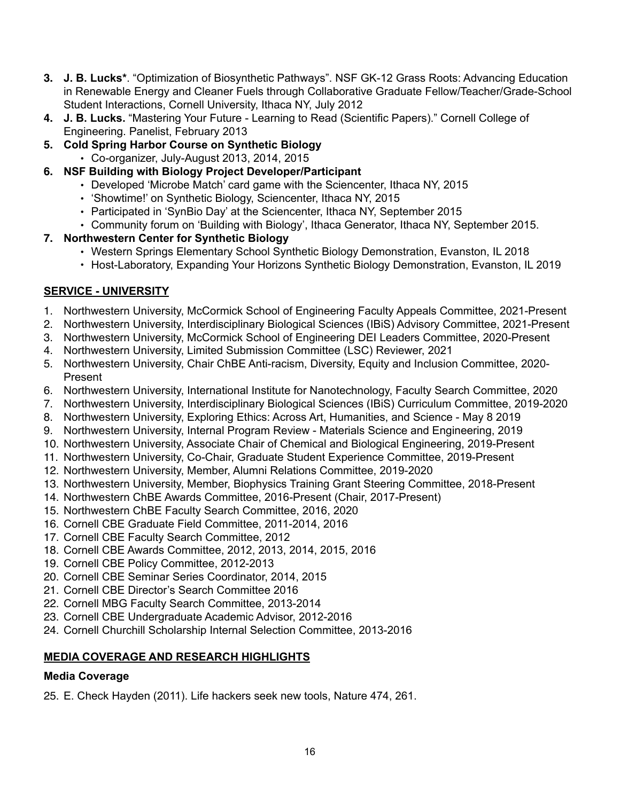- **3. J. B. Lucks\***. "Optimization of Biosynthetic Pathways". NSF GK-12 Grass Roots: Advancing Education in Renewable Energy and Cleaner Fuels through Collaborative Graduate Fellow/Teacher/Grade-School Student Interactions, Cornell University, Ithaca NY, July 2012
- **4. J. B. Lucks.** "Mastering Your Future Learning to Read (Scientific Papers)." Cornell College of Engineering. Panelist, February 2013
- **5. Cold Spring Harbor Course on Synthetic Biology**
	- Co-organizer, July-August 2013, 2014, 2015
- **6. NSF Building with Biology Project Developer/Participant**
	- Developed 'Microbe Match' card game with the Sciencenter, Ithaca NY, 2015
	- 'Showtime!' on Synthetic Biology, Sciencenter, Ithaca NY, 2015
	- Participated in 'SynBio Day' at the Sciencenter, Ithaca NY, September 2015
	- Community forum on 'Building with Biology', Ithaca Generator, Ithaca NY, September 2015.

## **7. Northwestern Center for Synthetic Biology**

- Western Springs Elementary School Synthetic Biology Demonstration, Evanston, IL 2018
- Host-Laboratory, Expanding Your Horizons Synthetic Biology Demonstration, Evanston, IL 2019

## **SERVICE - UNIVERSITY**

- 1. Northwestern University, McCormick School of Engineering Faculty Appeals Committee, 2021-Present
- 2. Northwestern University, Interdisciplinary Biological Sciences (IBiS) Advisory Committee, 2021-Present
- 3. Northwestern University, McCormick School of Engineering DEI Leaders Committee, 2020-Present
- 4. Northwestern University, Limited Submission Committee (LSC) Reviewer, 2021
- 5. Northwestern University, Chair ChBE Anti-racism, Diversity, Equity and Inclusion Committee, 2020- Present
- 6. Northwestern University, International Institute for Nanotechnology, Faculty Search Committee, 2020
- 7. Northwestern University, Interdisciplinary Biological Sciences (IBiS) Curriculum Committee, 2019-2020
- 8. Northwestern University, Exploring Ethics: Across Art, Humanities, and Science May 8 2019
- 9. Northwestern University, Internal Program Review Materials Science and Engineering, 2019
- 10. Northwestern University, Associate Chair of Chemical and Biological Engineering, 2019-Present
- 11. Northwestern University, Co-Chair, Graduate Student Experience Committee, 2019-Present
- 12. Northwestern University, Member, Alumni Relations Committee, 2019-2020
- 13. Northwestern University, Member, Biophysics Training Grant Steering Committee, 2018-Present
- 14. Northwestern ChBE Awards Committee, 2016-Present (Chair, 2017-Present)
- 15. Northwestern ChBE Faculty Search Committee, 2016, 2020
- 16. Cornell CBE Graduate Field Committee, 2011-2014, 2016
- 17. Cornell CBE Faculty Search Committee, 2012
- 18. Cornell CBE Awards Committee, 2012, 2013, 2014, 2015, 2016
- 19. Cornell CBE Policy Committee, 2012-2013
- 20. Cornell CBE Seminar Series Coordinator, 2014, 2015
- 21. Cornell CBE Director's Search Committee 2016
- 22. Cornell MBG Faculty Search Committee, 2013-2014
- 23. Cornell CBE Undergraduate Academic Advisor, 2012-2016
- 24. Cornell Churchill Scholarship Internal Selection Committee, 2013-2016

## **MEDIA COVERAGE AND RESEARCH HIGHLIGHTS**

#### **Media Coverage**

25. E. Check Hayden (2011). Life hackers seek new tools, Nature 474, 261.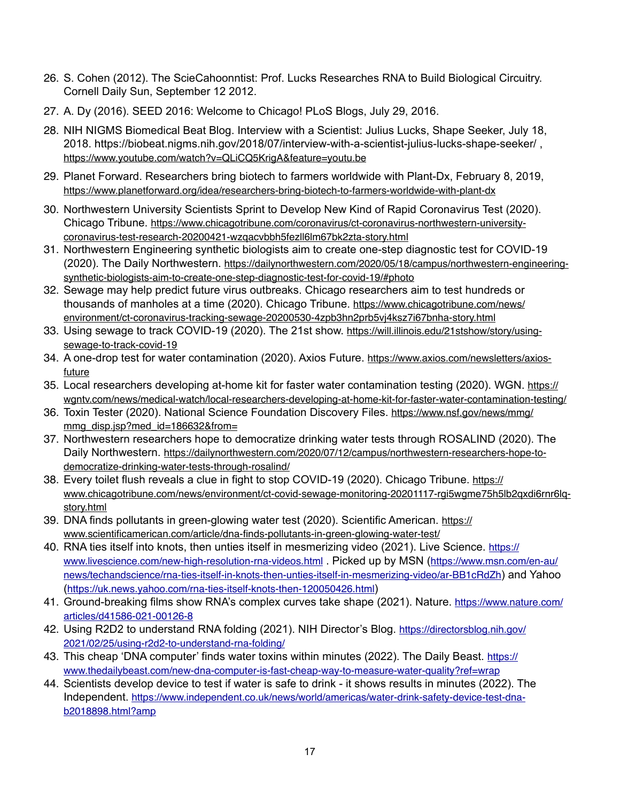- 26. S. Cohen (2012). The ScieCahoonntist: Prof. Lucks Researches RNA to Build Biological Circuitry. Cornell Daily Sun, September 12 2012.
- 27. A. Dy (2016). SEED 2016: Welcome to Chicago! PLoS Blogs, July 29, 2016.
- 28. NIH NIGMS Biomedical Beat Blog. Interview with a Scientist: Julius Lucks, Shape Seeker, July 18, 2018. https://biobeat.nigms.nih.gov/2018/07/interview-with-a-scientist-julius-lucks-shape-seeker/ , <https://www.youtube.com/watch?v=QLiCQ5KrigA&feature=youtu.be>
- 29. Planet Forward. Researchers bring biotech to farmers worldwide with Plant-Dx, February 8, 2019, <https://www.planetforward.org/idea/researchers-bring-biotech-to-farmers-worldwide-with-plant-dx>
- 30. Northwestern University Scientists Sprint to Develop New Kind of Rapid Coronavirus Test (2020). Chicago Tribune. [https://www.chicagotribune.com/coronavirus/ct-coronavirus-northwestern-university](https://www.chicagotribune.com/coronavirus/ct-coronavirus-northwestern-university-coronavirus-test-research-20200421-wzqacvbbh5fezll6lm67bk2zta-story.html)[coronavirus-test-research-20200421-wzqacvbbh5fezll6lm67bk2zta-story.html](https://www.chicagotribune.com/coronavirus/ct-coronavirus-northwestern-university-coronavirus-test-research-20200421-wzqacvbbh5fezll6lm67bk2zta-story.html)
- 31. Northwestern Engineering synthetic biologists aim to create one-step diagnostic test for COVID-19 (2020). The Daily Northwestern. [https://dailynorthwestern.com/2020/05/18/campus/northwestern-engineering](https://dailynorthwestern.com/2020/05/18/campus/northwestern-engineering-synthetic-biologists-aim-to-create-one-step-diagnostic-test-for-covid-19/#photo)[synthetic-biologists-aim-to-create-one-step-diagnostic-test-for-covid-19/#photo](https://dailynorthwestern.com/2020/05/18/campus/northwestern-engineering-synthetic-biologists-aim-to-create-one-step-diagnostic-test-for-covid-19/#photo)
- 32. Sewage may help predict future virus outbreaks. Chicago researchers aim to test hundreds or [thousands of manholes at a time \(2020\). Chicago Tribune.](https://www.chicagotribune.com/news/environment/ct-coronavirus-tracking-sewage-20200530-4zpb3hn2prb5vj4ksz7i67bnha-story.html) [https://www.chicagotribune.com/news/](https://www.chicagotribune.com/news/environment/ct-coronavirus-tracking-sewage-20200530-4zpb3hn2prb5vj4ksz7i67bnha-story.html) [environment/ct-coronavirus-tracking-sewage-20200530-4zpb3hn2prb5vj4ksz7i67bnha-story.html](https://www.chicagotribune.com/news/environment/ct-coronavirus-tracking-sewage-20200530-4zpb3hn2prb5vj4ksz7i67bnha-story.html)
- 33. Using sewage to track COVID-19 (2020). The 21st show. [https://will.illinois.edu/21stshow/story/using](https://will.illinois.edu/21stshow/story/using-sewage-to-track-covid-19)[sewage-to-track-covid-19](https://will.illinois.edu/21stshow/story/using-sewage-to-track-covid-19)
- 34. A one-drop test for water contamination (2020). Axios Future. [https://www.axios.com/newsletters/axios](https://www.axios.com/newsletters/axios-future)[future](https://www.axios.com/newsletters/axios-future)
- 35. Local researchers developing at-home kit for faster water contamination testing (2020). WGN. [https://](https://wgntv.com/news/medical-watch/local-researchers-developing-at-home-kit-for-faster-water-contamination-testing/) [wgntv.com/news/medical-watch/local-researchers-developing-at-home-kit-for-faster-water-contamination-testing/](https://wgntv.com/news/medical-watch/local-researchers-developing-at-home-kit-for-faster-water-contamination-testing/)
- 36. Toxin Tester (2020). National Science Foundation Discovery Files. [https://www.nsf.gov/news/mmg/](https://www.nsf.gov/news/mmg/mmg_disp.jsp?med_id=186632&from=) [mmg\\_disp.jsp?med\\_id=186632&from=](https://www.nsf.gov/news/mmg/mmg_disp.jsp?med_id=186632&from=)
- 37. Northwestern researchers hope to democratize drinking water tests through ROSALIND (2020). The Daily Northwestern. [https://dailynorthwestern.com/2020/07/12/campus/northwestern-researchers-hope-to](https://dailynorthwestern.com/2020/07/12/campus/northwestern-researchers-hope-to-democratize-drinking-water-tests-through-rosalind/)[democratize-drinking-water-tests-through-rosalind/](https://dailynorthwestern.com/2020/07/12/campus/northwestern-researchers-hope-to-democratize-drinking-water-tests-through-rosalind/)
- 38. Every toilet flush reveals a clue in fight to stop COVID-19 (2020). Chicago Tribune. [https://](https://www.chicagotribune.com/news/environment/ct-covid-sewage-monitoring-20201117-rgi5wgme75h5lb2qxdi6rnr6lq-story.html) [www.chicagotribune.com/news/environment/ct-covid-sewage-monitoring-20201117-rgi5wgme75h5lb2qxdi6rnr6lq](https://www.chicagotribune.com/news/environment/ct-covid-sewage-monitoring-20201117-rgi5wgme75h5lb2qxdi6rnr6lq-story.html)[story.html](https://www.chicagotribune.com/news/environment/ct-covid-sewage-monitoring-20201117-rgi5wgme75h5lb2qxdi6rnr6lq-story.html)
- 39. DNA finds pollutants in green-glowing water test (2020). Scientific American. [https://](https://www.scientificamerican.com/article/dna-finds-pollutants-in-green-glowing-water-test/) [www.scientificamerican.com/article/dna-finds-pollutants-in-green-glowing-water-test/](https://www.scientificamerican.com/article/dna-finds-pollutants-in-green-glowing-water-test/)
- 40. RNA ties itself into knots, then unties itself in mesmerizing video (2021). Live Science. [https://](https://www.livescience.com/new-high-resolution-rna-videos.html) [www.livescience.com/new-high-resolution-rna-videos.html](https://www.livescience.com/new-high-resolution-rna-videos.html) . Picked up by MSN ([https://www.msn.com/en-au/](https://www.msn.com/en-au/news/techandscience/rna-ties-itself-in-knots-then-unties-itself-in-mesmerizing-video/ar-BB1cRdZh) [news/techandscience/rna-ties-itself-in-knots-then-unties-itself-in-mesmerizing-video/ar-BB1cRdZh](https://www.msn.com/en-au/news/techandscience/rna-ties-itself-in-knots-then-unties-itself-in-mesmerizing-video/ar-BB1cRdZh)) and Yahoo (<https://uk.news.yahoo.com/rna-ties-itself-knots-then-120050426.html>)
- 41. Ground-breaking films show RNA's complex curves take shape (2021). Nature. [https://www.nature.com/](https://www.nature.com/articles/d41586-021-00126-8) [articles/d41586-021-00126-8](https://www.nature.com/articles/d41586-021-00126-8)
- 42. Using R2D2 to understand RNA folding (2021). NIH Director's Blog. [https://directorsblog.nih.gov/](https://directorsblog.nih.gov/2021/02/25/using-r2d2-to-understand-rna-folding/) [2021/02/25/using-r2d2-to-understand-rna-folding/](https://directorsblog.nih.gov/2021/02/25/using-r2d2-to-understand-rna-folding/)
- 43. [This cheap 'DNA computer' finds water toxins within minutes \(2022\). The Daily Beast.](https://www.thedailybeast.com/new-dna-computer-is-fast-cheap-way-to-measure-water-quality?ref=wrap) [https://](https://www.thedailybeast.com/new-dna-computer-is-fast-cheap-way-to-measure-water-quality?ref=wrap) [www.thedailybeast.com/new-dna-computer-is-fast-cheap-way-to-measure-water-quality?ref=wrap](https://www.thedailybeast.com/new-dna-computer-is-fast-cheap-way-to-measure-water-quality?ref=wrap)
- 44. Scientists develop device to test if water is safe to drink it shows results in minutes (2022). The Independent. [https://www.independent.co.uk/news/world/americas/water-drink-safety-device-test-dna](https://www.independent.co.uk/news/world/americas/water-drink-safety-device-test-dna-b2018898.html?amp)[b2018898.html?amp](https://www.independent.co.uk/news/world/americas/water-drink-safety-device-test-dna-b2018898.html?amp)